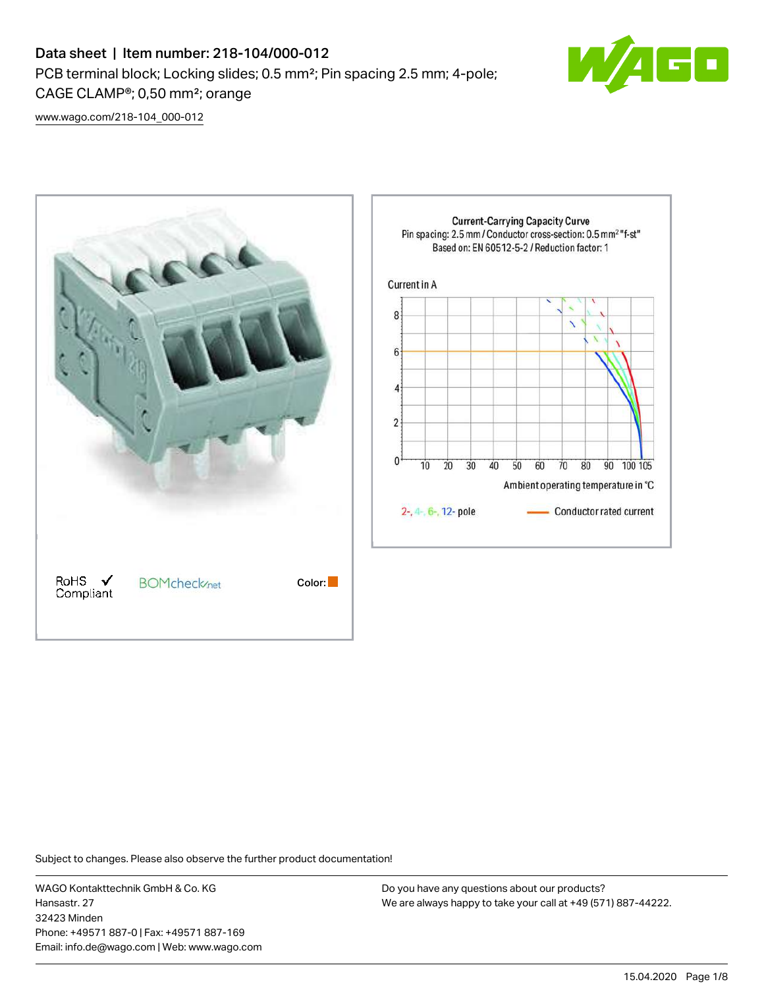# Data sheet | Item number: 218-104/000-012 PCB terminal block; Locking slides; 0.5 mm²; Pin spacing 2.5 mm; 4-pole; CAGE CLAMP®; 0,50 mm²; orange



[www.wago.com/218-104\\_000-012](http://www.wago.com/218-104_000-012)



Subject to changes. Please also observe the further product documentation!

WAGO Kontakttechnik GmbH & Co. KG Hansastr. 27 32423 Minden Phone: +49571 887-0 | Fax: +49571 887-169 Email: info.de@wago.com | Web: www.wago.com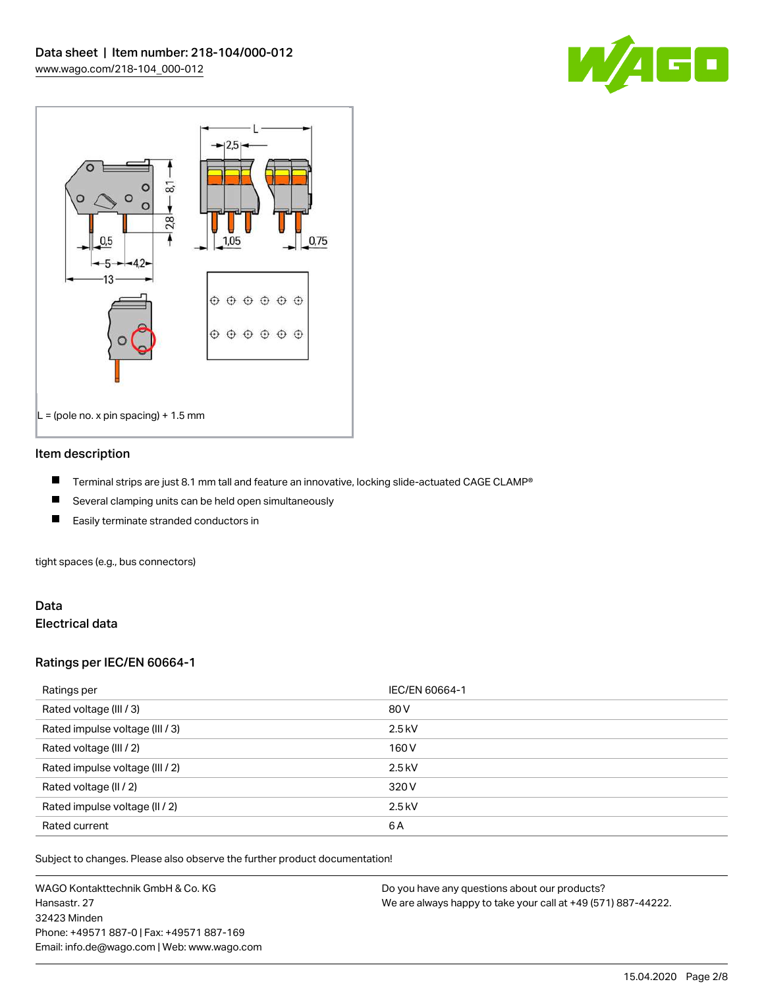



#### Item description

- П Terminal strips are just 8.1 mm tall and feature an innovative, locking slide-actuated CAGE CLAMP®
- $\blacksquare$ Several clamping units can be held open simultaneously
- П Easily terminate stranded conductors in

tight spaces (e.g., bus connectors)

## Data Electrical data

## Ratings per IEC/EN 60664-1

| Ratings per                     | IEC/EN 60664-1 |
|---------------------------------|----------------|
| Rated voltage (III / 3)         | 80 V           |
| Rated impulse voltage (III / 3) | $2.5$ kV       |
| Rated voltage (III / 2)         | 160 V          |
| Rated impulse voltage (III / 2) | $2.5$ kV       |
| Rated voltage (II / 2)          | 320 V          |
| Rated impulse voltage (II / 2)  | $2.5$ kV       |
| Rated current                   | 6A             |

Subject to changes. Please also observe the further product documentation!

WAGO Kontakttechnik GmbH & Co. KG Hansastr. 27 32423 Minden Phone: +49571 887-0 | Fax: +49571 887-169 Email: info.de@wago.com | Web: www.wago.com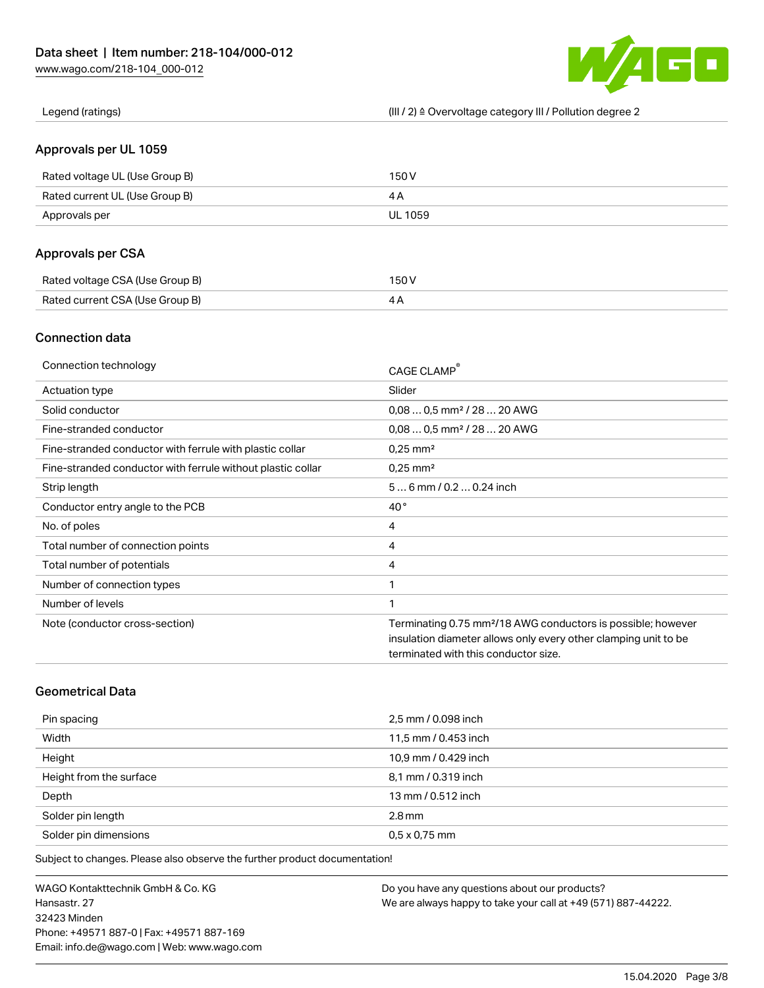

Legend (ratings) (III / 2) ≙ Overvoltage category III / Pollution degree 2

## Approvals per UL 1059

| Rated voltage UL (Use Group B) | 150 V   |
|--------------------------------|---------|
| Rated current UL (Use Group B) |         |
| Approvals per                  | UL 1059 |

## Approvals per CSA

| Rated voltage CSA (Use Group B) | 150 V |
|---------------------------------|-------|
| Rated current CSA (Use Group B) |       |

## Connection data

| Connection technology                                       | CAGE CLAMP®                                                              |
|-------------------------------------------------------------|--------------------------------------------------------------------------|
| Actuation type                                              | Slider                                                                   |
| Solid conductor                                             | $0.080.5$ mm <sup>2</sup> / 28  20 AWG                                   |
| Fine-stranded conductor                                     | $0.080.5$ mm <sup>2</sup> / 28  20 AWG                                   |
| Fine-stranded conductor with ferrule with plastic collar    | $0.25$ mm <sup>2</sup>                                                   |
| Fine-stranded conductor with ferrule without plastic collar | $0.25$ mm <sup>2</sup>                                                   |
| Strip length                                                | $56$ mm $/ 0.20.24$ inch                                                 |
| Conductor entry angle to the PCB                            | $40^{\circ}$                                                             |
| No. of poles                                                | 4                                                                        |
| Total number of connection points                           | 4                                                                        |
| Total number of potentials                                  | 4                                                                        |
| Number of connection types                                  | 1                                                                        |
| Number of levels                                            | 1                                                                        |
| Note (conductor cross-section)                              | Terminating 0.75 mm <sup>2</sup> /18 AWG conductors is possible; however |
|                                                             | insulation diameter allows only every other clamping unit to be          |
|                                                             | terminated with this conductor size.                                     |

# Geometrical Data

| Pin spacing             | 2,5 mm / 0.098 inch  |
|-------------------------|----------------------|
| Width                   | 11,5 mm / 0.453 inch |
| Height                  | 10,9 mm / 0.429 inch |
| Height from the surface | 8,1 mm / 0.319 inch  |
| Depth                   | 13 mm / 0.512 inch   |
| Solder pin length       | $2.8$ mm             |
| Solder pin dimensions   | $0.5 \times 0.75$ mm |

Subject to changes. Please also observe the further product documentation!

WAGO Kontakttechnik GmbH & Co. KG Hansastr. 27 32423 Minden Phone: +49571 887-0 | Fax: +49571 887-169 Email: info.de@wago.com | Web: www.wago.com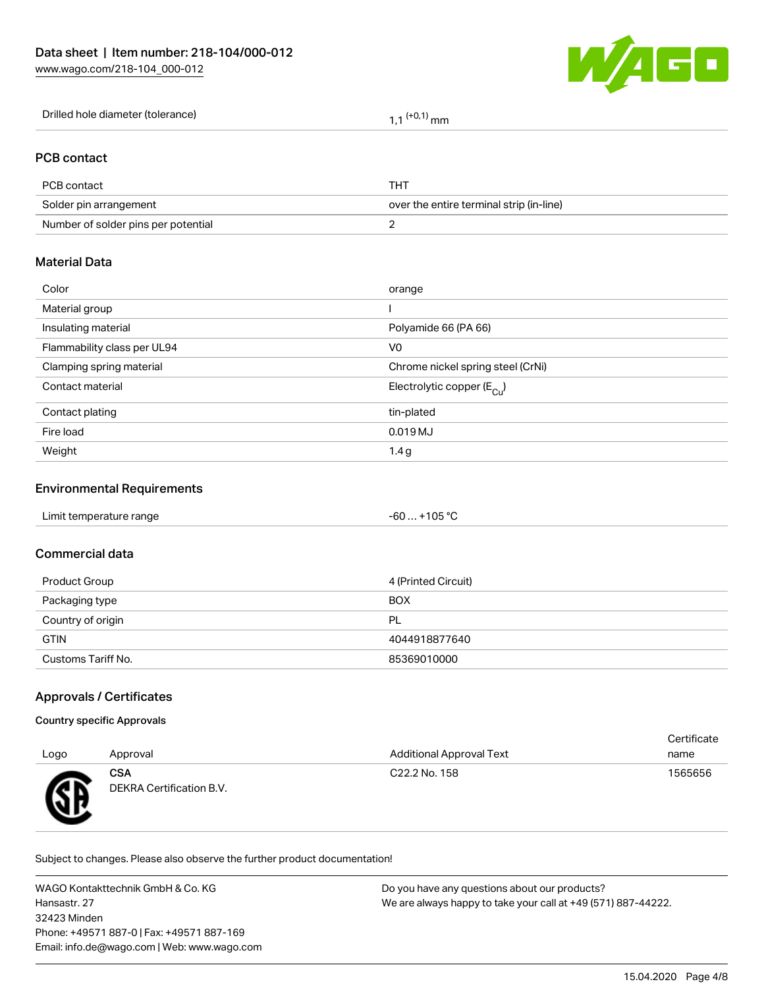

Drilled hole diameter (tolerance)  $1,1$   $(+0,1)$  mm

## PCB contact

| PCB contact                         | THT.                                     |
|-------------------------------------|------------------------------------------|
| Solder pin arrangement              | over the entire terminal strip (in-line) |
| Number of solder pins per potential |                                          |

## Material Data

| Color                       | orange                                |
|-----------------------------|---------------------------------------|
| Material group              |                                       |
| Insulating material         | Polyamide 66 (PA 66)                  |
| Flammability class per UL94 | V <sub>0</sub>                        |
| Clamping spring material    | Chrome nickel spring steel (CrNi)     |
| Contact material            | Electrolytic copper $(E_{\text{Cl}})$ |
| Contact plating             | tin-plated                            |
| Fire load                   | 0.019 MJ                              |
| Weight                      | 1.4g                                  |
|                             |                                       |

#### Environmental Requirements

| Limit temperature range | $-60+105 °C$ |
|-------------------------|--------------|
|                         |              |

#### Commercial data

| Product Group      | 4 (Printed Circuit) |
|--------------------|---------------------|
| Packaging type     | <b>BOX</b>          |
| Country of origin  | PL                  |
| <b>GTIN</b>        | 4044918877640       |
| Customs Tariff No. | 85369010000         |

## Approvals / Certificates

#### Country specific Approvals

|      |                                 |                                 | Certificate |
|------|---------------------------------|---------------------------------|-------------|
| Logo | Approval                        | <b>Additional Approval Text</b> | name        |
| Æ    | CSA<br>DEKRA Certification B.V. | C22.2 No. 158                   | 1565656     |

Subject to changes. Please also observe the further product documentation!

WAGO Kontakttechnik GmbH & Co. KG Hansastr. 27 32423 Minden Phone: +49571 887-0 | Fax: +49571 887-169 Email: info.de@wago.com | Web: www.wago.com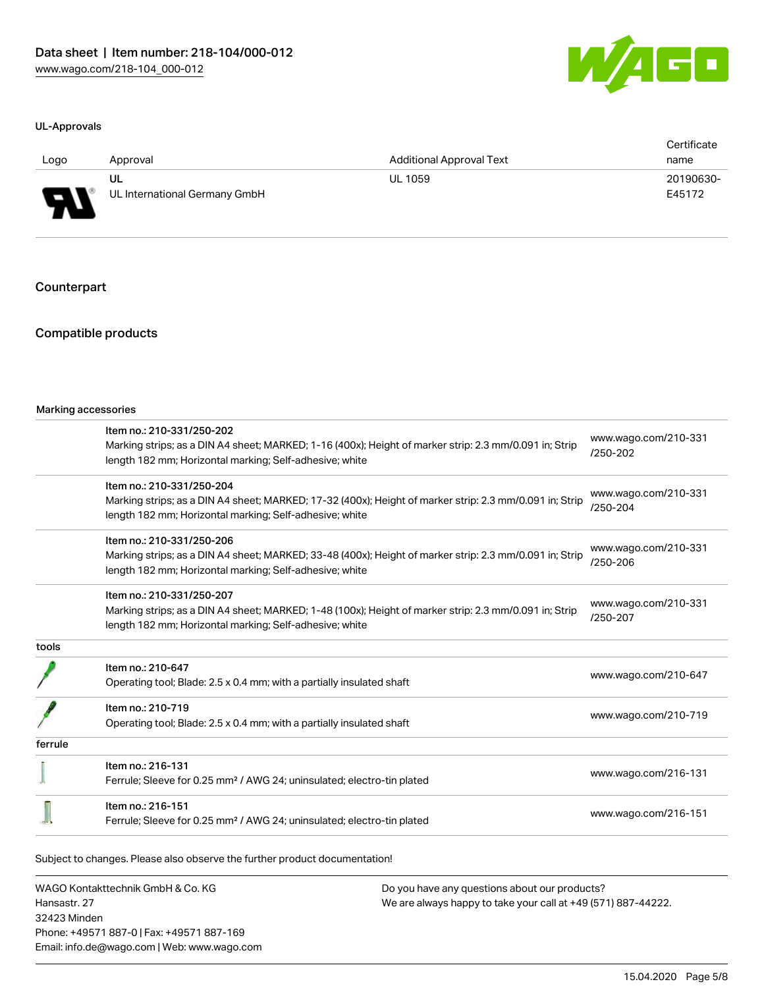

#### UL-Approvals

| Logo                               | Approval                      | <b>Additional Approval Text</b> | Certificate<br>name |
|------------------------------------|-------------------------------|---------------------------------|---------------------|
|                                    | UL                            | <b>UL 1059</b>                  | 20190630-           |
| J<br>$\overline{\phantom{a}}$<br>ı | UL International Germany GmbH |                                 | E45172              |

#### Counterpart

## Compatible products

|         | Item no.: 210-331/250-202                                                                                                                                          | www.wago.com/210-331             |  |
|---------|--------------------------------------------------------------------------------------------------------------------------------------------------------------------|----------------------------------|--|
|         | Marking strips; as a DIN A4 sheet; MARKED; 1-16 (400x); Height of marker strip: 2.3 mm/0.091 in; Strip<br>length 182 mm; Horizontal marking; Self-adhesive; white  | $/250 - 202$                     |  |
|         | Item no.: 210-331/250-204                                                                                                                                          | www.wago.com/210-331             |  |
|         | Marking strips; as a DIN A4 sheet; MARKED; 17-32 (400x); Height of marker strip: 2.3 mm/0.091 in; Strip<br>length 182 mm; Horizontal marking; Self-adhesive; white | /250-204                         |  |
|         | Item no.: 210-331/250-206                                                                                                                                          |                                  |  |
|         | Marking strips; as a DIN A4 sheet; MARKED; 33-48 (400x); Height of marker strip: 2.3 mm/0.091 in; Strip<br>length 182 mm; Horizontal marking; Self-adhesive; white | www.wago.com/210-331<br>/250-206 |  |
|         | Item no.: 210-331/250-207                                                                                                                                          |                                  |  |
|         | Marking strips; as a DIN A4 sheet; MARKED; 1-48 (100x); Height of marker strip: 2.3 mm/0.091 in; Strip<br>length 182 mm; Horizontal marking; Self-adhesive; white  | www.wago.com/210-331<br>/250-207 |  |
| tools   |                                                                                                                                                                    |                                  |  |
|         | Item no.: 210-647                                                                                                                                                  | www.wago.com/210-647             |  |
|         | Operating tool; Blade: 2.5 x 0.4 mm; with a partially insulated shaft                                                                                              |                                  |  |
|         | Item no.: 210-719                                                                                                                                                  |                                  |  |
|         | Operating tool; Blade: 2.5 x 0.4 mm; with a partially insulated shaft                                                                                              | www.wago.com/210-719             |  |
| ferrule |                                                                                                                                                                    |                                  |  |
|         | Item no.: 216-131                                                                                                                                                  |                                  |  |
|         | Ferrule; Sleeve for 0.25 mm <sup>2</sup> / AWG 24; uninsulated; electro-tin plated                                                                                 | www.wago.com/216-131             |  |
|         | Item no.: 216-151                                                                                                                                                  |                                  |  |
|         | Ferrule; Sleeve for 0.25 mm <sup>2</sup> / AWG 24; uninsulated; electro-tin plated                                                                                 | www.wago.com/216-151             |  |

WAGO Kontakttechnik GmbH & Co. KG Hansastr. 27 32423 Minden Phone: +49571 887-0 | Fax: +49571 887-169 Email: info.de@wago.com | Web: www.wago.com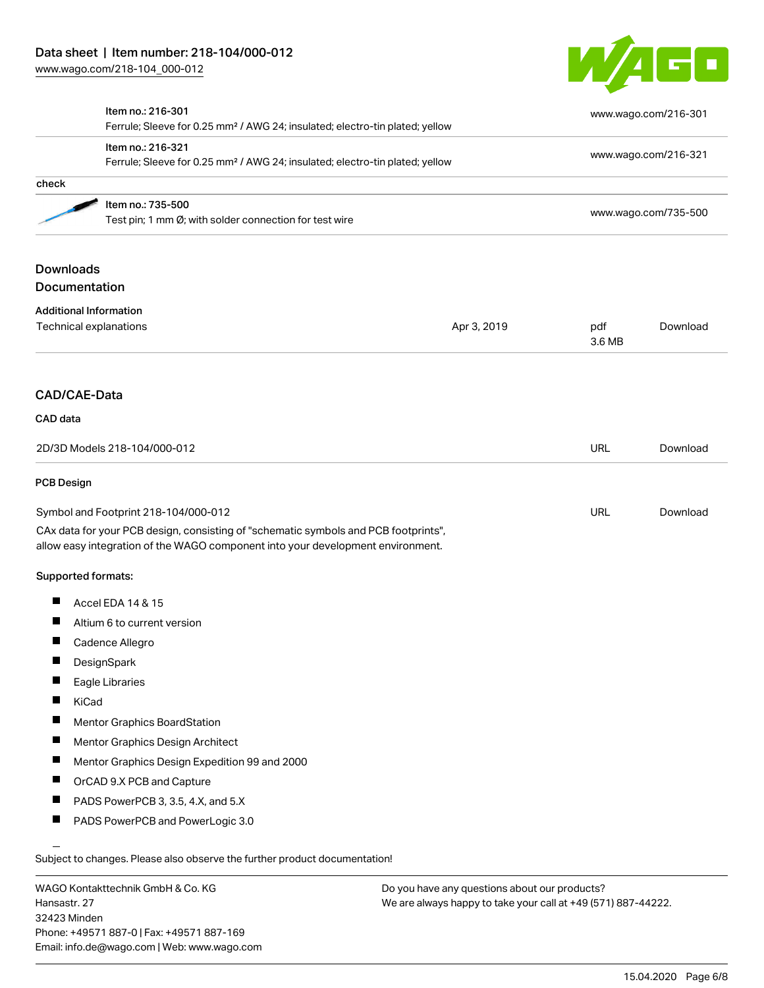[www.wago.com/218-104\\_000-012](http://www.wago.com/218-104_000-012)



|                                                                             | Item no.: 216-301<br>Ferrule; Sleeve for 0.25 mm <sup>2</sup> / AWG 24; insulated; electro-tin plated; yellow<br>Item no.: 216-321<br>Ferrule; Sleeve for 0.25 mm <sup>2</sup> / AWG 24; insulated; electro-tin plated; yellow |             |               | www.wago.com/216-301<br>www.wago.com/216-321 |  |
|-----------------------------------------------------------------------------|--------------------------------------------------------------------------------------------------------------------------------------------------------------------------------------------------------------------------------|-------------|---------------|----------------------------------------------|--|
|                                                                             |                                                                                                                                                                                                                                |             |               |                                              |  |
| check                                                                       |                                                                                                                                                                                                                                |             |               |                                              |  |
| Item no.: 735-500<br>Test pin; 1 mm Ø; with solder connection for test wire |                                                                                                                                                                                                                                |             |               | www.wago.com/735-500                         |  |
| <b>Downloads</b>                                                            |                                                                                                                                                                                                                                |             |               |                                              |  |
| Documentation                                                               |                                                                                                                                                                                                                                |             |               |                                              |  |
| <b>Additional Information</b><br>Technical explanations                     |                                                                                                                                                                                                                                | Apr 3, 2019 | pdf<br>3.6 MB | Download                                     |  |
| <b>CAD/CAE-Data</b>                                                         |                                                                                                                                                                                                                                |             |               |                                              |  |
| CAD data                                                                    |                                                                                                                                                                                                                                |             |               |                                              |  |
| 2D/3D Models 218-104/000-012                                                |                                                                                                                                                                                                                                | <b>URL</b>  | Download      |                                              |  |
| <b>PCB Design</b>                                                           |                                                                                                                                                                                                                                |             |               |                                              |  |
|                                                                             | Symbol and Footprint 218-104/000-012<br>CAx data for your PCB design, consisting of "schematic symbols and PCB footprints",<br>allow easy integration of the WAGO component into your development environment.                 |             | <b>URL</b>    | Download                                     |  |
| Supported formats:                                                          |                                                                                                                                                                                                                                |             |               |                                              |  |
|                                                                             | Accel EDA 14 & 15                                                                                                                                                                                                              |             |               |                                              |  |
| a s                                                                         | Altium 6 to current version                                                                                                                                                                                                    |             |               |                                              |  |
|                                                                             | Cadence Allegro                                                                                                                                                                                                                |             |               |                                              |  |
|                                                                             | DesignSpark                                                                                                                                                                                                                    |             |               |                                              |  |
|                                                                             | Eagle Libraries                                                                                                                                                                                                                |             |               |                                              |  |
| KiCad<br>п                                                                  |                                                                                                                                                                                                                                |             |               |                                              |  |
|                                                                             | <b>Mentor Graphics BoardStation</b>                                                                                                                                                                                            |             |               |                                              |  |
|                                                                             | Mentor Graphics Design Architect                                                                                                                                                                                               |             |               |                                              |  |
| T.                                                                          | Mentor Graphics Design Expedition 99 and 2000                                                                                                                                                                                  |             |               |                                              |  |
|                                                                             | OrCAD 9.X PCB and Capture                                                                                                                                                                                                      |             |               |                                              |  |
|                                                                             | PADS PowerPCB 3, 3.5, 4.X, and 5.X                                                                                                                                                                                             |             |               |                                              |  |
|                                                                             |                                                                                                                                                                                                                                |             |               |                                              |  |

WAGO Kontakttechnik GmbH & Co. KG Hansastr. 27 32423 Minden Phone: +49571 887-0 | Fax: +49571 887-169 Email: info.de@wago.com | Web: www.wago.com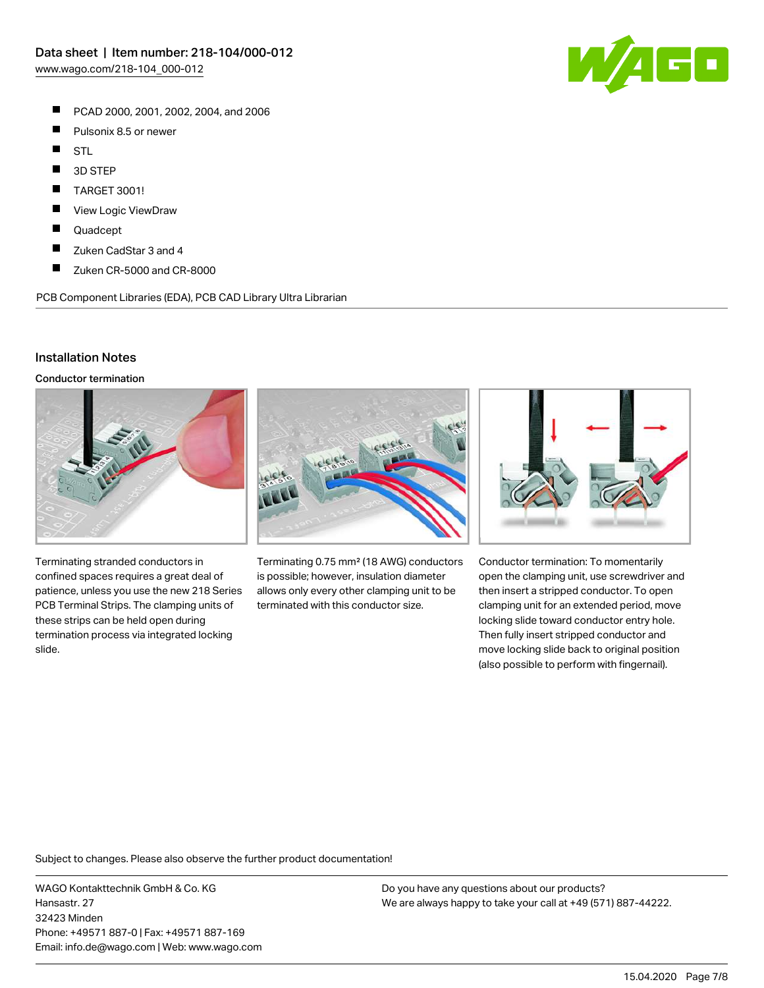- $\blacksquare$ PCAD 2000, 2001, 2002, 2004, and 2006
- $\blacksquare$ Pulsonix 8.5 or newer
- $\blacksquare$ STL
- $\blacksquare$ 3D STEP
- П TARGET 3001!
- П View Logic ViewDraw
- П Quadcept
- $\blacksquare$ Zuken CadStar 3 and 4
- $\blacksquare$ Zuken CR-5000 and CR-8000

PCB Component Libraries (EDA), PCB CAD Library Ultra Librarian

#### Installation Notes

Conductor termination



Terminating stranded conductors in confined spaces requires a great deal of patience, unless you use the new 218 Series PCB Terminal Strips. The clamping units of these strips can be held open during termination process via integrated locking slide.



Terminating 0.75 mm² (18 AWG) conductors is possible; however, insulation diameter allows only every other clamping unit to be terminated with this conductor size.



Conductor termination: To momentarily open the clamping unit, use screwdriver and then insert a stripped conductor. To open clamping unit for an extended period, move locking slide toward conductor entry hole. Then fully insert stripped conductor and move locking slide back to original position (also possible to perform with fingernail).

Subject to changes. Please also observe the further product documentation!

WAGO Kontakttechnik GmbH & Co. KG Hansastr. 27 32423 Minden Phone: +49571 887-0 | Fax: +49571 887-169 Email: info.de@wago.com | Web: www.wago.com